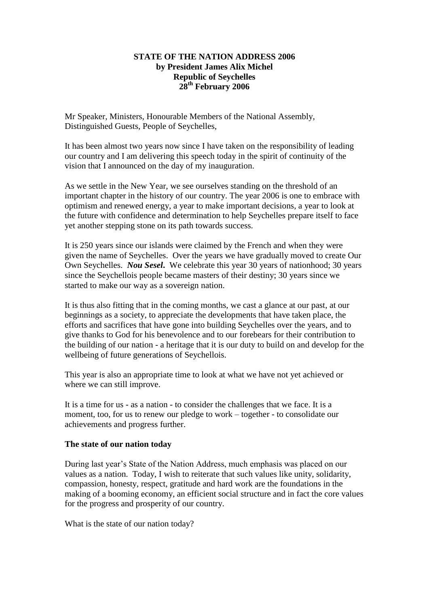## **STATE OF THE NATION ADDRESS 2006 by President James Alix Michel Republic of Seychelles 28th February 2006**

Mr Speaker, Ministers, Honourable Members of the National Assembly, Distinguished Guests, People of Seychelles,

It has been almost two years now since I have taken on the responsibility of leading our country and I am delivering this speech today in the spirit of continuity of the vision that I announced on the day of my inauguration.

As we settle in the New Year, we see ourselves standing on the threshold of an important chapter in the history of our country. The year 2006 is one to embrace with optimism and renewed energy, a year to make important decisions, a year to look at the future with confidence and determination to help Seychelles prepare itself to face yet another stepping stone on its path towards success.

It is 250 years since our islands were claimed by the French and when they were given the name of Seychelles. Over the years we have gradually moved to create Our Own Seychelles. *Nou Sesel***.** We celebrate this year 30 years of nationhood; 30 years since the Seychellois people became masters of their destiny; 30 years since we started to make our way as a sovereign nation.

It is thus also fitting that in the coming months, we cast a glance at our past, at our beginnings as a society, to appreciate the developments that have taken place, the efforts and sacrifices that have gone into building Seychelles over the years, and to give thanks to God for his benevolence and to our forebears for their contribution to the building of our nation - a heritage that it is our duty to build on and develop for the wellbeing of future generations of Seychellois.

This year is also an appropriate time to look at what we have not yet achieved or where we can still improve.

It is a time for us - as a nation - to consider the challenges that we face. It is a moment, too, for us to renew our pledge to work – together - to consolidate our achievements and progress further.

## **The state of our nation today**

During last year"s State of the Nation Address, much emphasis was placed on our values as a nation. Today, I wish to reiterate that such values like unity, solidarity, compassion, honesty, respect, gratitude and hard work are the foundations in the making of a booming economy, an efficient social structure and in fact the core values for the progress and prosperity of our country.

What is the state of our nation today?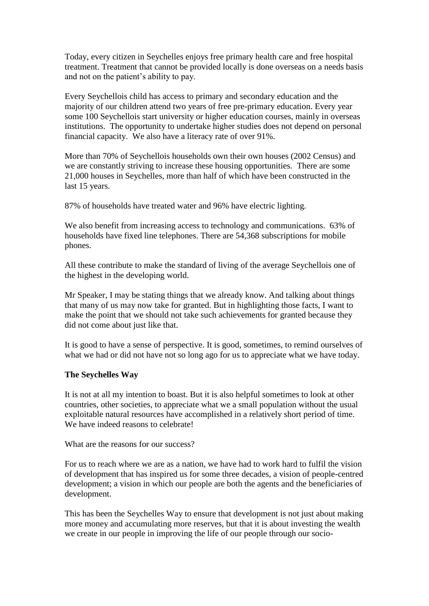Today, every citizen in Seychelles enjoys free primary health care and free hospital treatment. Treatment that cannot be provided locally is done overseas on a needs basis and not on the patient"s ability to pay.

Every Seychellois child has access to primary and secondary education and the majority of our children attend two years of free pre-primary education. Every year some 100 Seychellois start university or higher education courses, mainly in overseas institutions. The opportunity to undertake higher studies does not depend on personal financial capacity. We also have a literacy rate of over 91%.

More than 70% of Seychellois households own their own houses (2002 Census) and we are constantly striving to increase these housing opportunities. There are some 21,000 houses in Seychelles, more than half of which have been constructed in the last 15 years.

87% of households have treated water and 96% have electric lighting.

We also benefit from increasing access to technology and communications. 63% of households have fixed line telephones. There are 54,368 subscriptions for mobile phones.

All these contribute to make the standard of living of the average Seychellois one of the highest in the developing world.

Mr Speaker, I may be stating things that we already know. And talking about things that many of us may now take for granted. But in highlighting those facts, I want to make the point that we should not take such achievements for granted because they did not come about just like that.

It is good to have a sense of perspective. It is good, sometimes, to remind ourselves of what we had or did not have not so long ago for us to appreciate what we have today.

## **The Seychelles Way**

It is not at all my intention to boast. But it is also helpful sometimes to look at other countries, other societies, to appreciate what we a small population without the usual exploitable natural resources have accomplished in a relatively short period of time. We have indeed reasons to celebrate!

What are the reasons for our success?

For us to reach where we are as a nation, we have had to work hard to fulfil the vision of development that has inspired us for some three decades, a vision of people-centred development; a vision in which our people are both the agents and the beneficiaries of development.

This has been the Seychelles Way to ensure that development is not just about making more money and accumulating more reserves, but that it is about investing the wealth we create in our people in improving the life of our people through our socio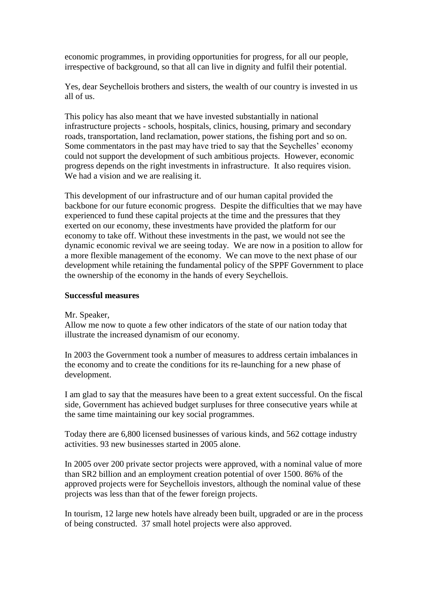economic programmes, in providing opportunities for progress, for all our people, irrespective of background, so that all can live in dignity and fulfil their potential.

Yes, dear Seychellois brothers and sisters, the wealth of our country is invested in us all of us.

This policy has also meant that we have invested substantially in national infrastructure projects - schools, hospitals, clinics, housing, primary and secondary roads, transportation, land reclamation, power stations, the fishing port and so on. Some commentators in the past may have tried to say that the Seychelles" economy could not support the development of such ambitious projects. However, economic progress depends on the right investments in infrastructure. It also requires vision. We had a vision and we are realising it.

This development of our infrastructure and of our human capital provided the backbone for our future economic progress. Despite the difficulties that we may have experienced to fund these capital projects at the time and the pressures that they exerted on our economy, these investments have provided the platform for our economy to take off. Without these investments in the past, we would not see the dynamic economic revival we are seeing today. We are now in a position to allow for a more flexible management of the economy. We can move to the next phase of our development while retaining the fundamental policy of the SPPF Government to place the ownership of the economy in the hands of every Seychellois.

## **Successful measures**

#### Mr. Speaker,

Allow me now to quote a few other indicators of the state of our nation today that illustrate the increased dynamism of our economy.

In 2003 the Government took a number of measures to address certain imbalances in the economy and to create the conditions for its re-launching for a new phase of development.

I am glad to say that the measures have been to a great extent successful. On the fiscal side, Government has achieved budget surpluses for three consecutive years while at the same time maintaining our key social programmes.

Today there are 6,800 licensed businesses of various kinds, and 562 cottage industry activities. 93 new businesses started in 2005 alone.

In 2005 over 200 private sector projects were approved, with a nominal value of more than SR2 billion and an employment creation potential of over 1500. 86% of the approved projects were for Seychellois investors, although the nominal value of these projects was less than that of the fewer foreign projects.

In tourism, 12 large new hotels have already been built, upgraded or are in the process of being constructed. 37 small hotel projects were also approved.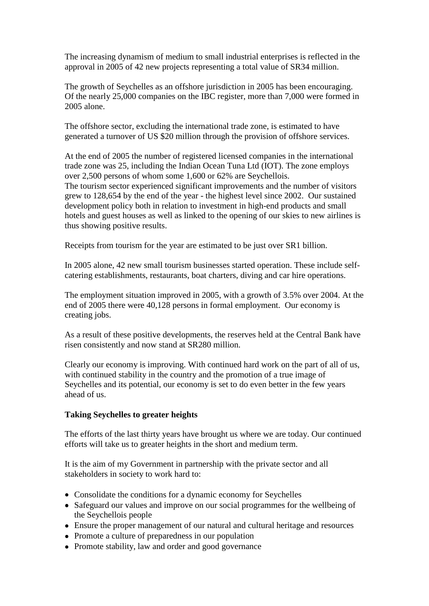The increasing dynamism of medium to small industrial enterprises is reflected in the approval in 2005 of 42 new projects representing a total value of SR34 million.

The growth of Seychelles as an offshore jurisdiction in 2005 has been encouraging. Of the nearly 25,000 companies on the IBC register, more than 7,000 were formed in 2005 alone.

The offshore sector, excluding the international trade zone, is estimated to have generated a turnover of US \$20 million through the provision of offshore services.

At the end of 2005 the number of registered licensed companies in the international trade zone was 25, including the Indian Ocean Tuna Ltd (IOT). The zone employs over 2,500 persons of whom some 1,600 or 62% are Seychellois. The tourism sector experienced significant improvements and the number of visitors grew to 128,654 by the end of the year - the highest level since 2002. Our sustained development policy both in relation to investment in high-end products and small hotels and guest houses as well as linked to the opening of our skies to new airlines is thus showing positive results.

Receipts from tourism for the year are estimated to be just over SR1 billion.

In 2005 alone, 42 new small tourism businesses started operation. These include selfcatering establishments, restaurants, boat charters, diving and car hire operations.

The employment situation improved in 2005, with a growth of 3.5% over 2004. At the end of 2005 there were 40,128 persons in formal employment. Our economy is creating jobs.

As a result of these positive developments, the reserves held at the Central Bank have risen consistently and now stand at SR280 million.

Clearly our economy is improving. With continued hard work on the part of all of us, with continued stability in the country and the promotion of a true image of Seychelles and its potential, our economy is set to do even better in the few years ahead of us.

# **Taking Seychelles to greater heights**

The efforts of the last thirty years have brought us where we are today. Our continued efforts will take us to greater heights in the short and medium term.

It is the aim of my Government in partnership with the private sector and all stakeholders in society to work hard to:

- Consolidate the conditions for a dynamic economy for Seychelles
- Safeguard our values and improve on our social programmes for the wellbeing of the Seychellois people
- Ensure the proper management of our natural and cultural heritage and resources
- Promote a culture of preparedness in our population
- Promote stability, law and order and good governance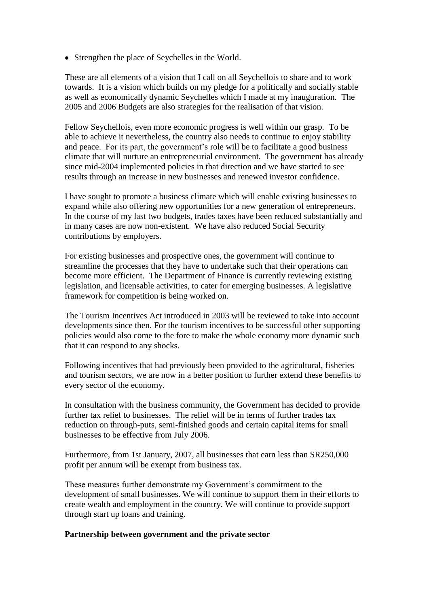• Strengthen the place of Seychelles in the World.

These are all elements of a vision that I call on all Seychellois to share and to work towards. It is a vision which builds on my pledge for a politically and socially stable as well as economically dynamic Seychelles which I made at my inauguration. The 2005 and 2006 Budgets are also strategies for the realisation of that vision.

Fellow Seychellois, even more economic progress is well within our grasp. To be able to achieve it nevertheless, the country also needs to continue to enjoy stability and peace. For its part, the government's role will be to facilitate a good business climate that will nurture an entrepreneurial environment. The government has already since mid-2004 implemented policies in that direction and we have started to see results through an increase in new businesses and renewed investor confidence.

I have sought to promote a business climate which will enable existing businesses to expand while also offering new opportunities for a new generation of entrepreneurs. In the course of my last two budgets, trades taxes have been reduced substantially and in many cases are now non-existent. We have also reduced Social Security contributions by employers.

For existing businesses and prospective ones, the government will continue to streamline the processes that they have to undertake such that their operations can become more efficient. The Department of Finance is currently reviewing existing legislation, and licensable activities, to cater for emerging businesses. A legislative framework for competition is being worked on.

The Tourism Incentives Act introduced in 2003 will be reviewed to take into account developments since then. For the tourism incentives to be successful other supporting policies would also come to the fore to make the whole economy more dynamic such that it can respond to any shocks.

Following incentives that had previously been provided to the agricultural, fisheries and tourism sectors, we are now in a better position to further extend these benefits to every sector of the economy.

In consultation with the business community, the Government has decided to provide further tax relief to businesses. The relief will be in terms of further trades tax reduction on through-puts, semi-finished goods and certain capital items for small businesses to be effective from July 2006.

Furthermore, from 1st January, 2007, all businesses that earn less than SR250,000 profit per annum will be exempt from business tax.

These measures further demonstrate my Government's commitment to the development of small businesses. We will continue to support them in their efforts to create wealth and employment in the country. We will continue to provide support through start up loans and training.

## **Partnership between government and the private sector**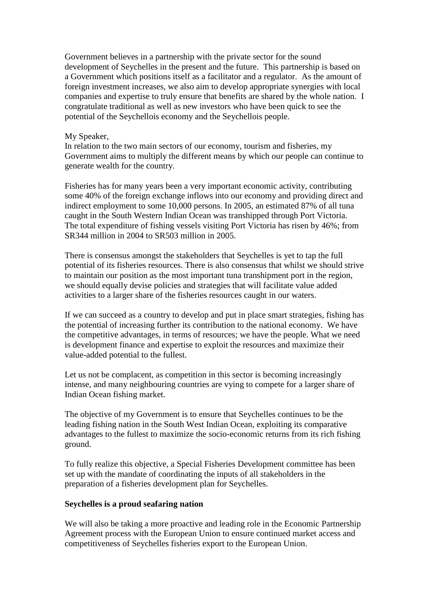Government believes in a partnership with the private sector for the sound development of Seychelles in the present and the future. This partnership is based on a Government which positions itself as a facilitator and a regulator. As the amount of foreign investment increases, we also aim to develop appropriate synergies with local companies and expertise to truly ensure that benefits are shared by the whole nation. I congratulate traditional as well as new investors who have been quick to see the potential of the Seychellois economy and the Seychellois people.

## My Speaker,

In relation to the two main sectors of our economy, tourism and fisheries, my Government aims to multiply the different means by which our people can continue to generate wealth for the country.

Fisheries has for many years been a very important economic activity, contributing some 40% of the foreign exchange inflows into our economy and providing direct and indirect employment to some 10,000 persons. In 2005, an estimated 87% of all tuna caught in the South Western Indian Ocean was transhipped through Port Victoria. The total expenditure of fishing vessels visiting Port Victoria has risen by 46%; from SR344 million in 2004 to SR503 million in 2005.

There is consensus amongst the stakeholders that Seychelles is yet to tap the full potential of its fisheries resources. There is also consensus that whilst we should strive to maintain our position as the most important tuna transhipment port in the region, we should equally devise policies and strategies that will facilitate value added activities to a larger share of the fisheries resources caught in our waters.

If we can succeed as a country to develop and put in place smart strategies, fishing has the potential of increasing further its contribution to the national economy. We have the competitive advantages, in terms of resources; we have the people. What we need is development finance and expertise to exploit the resources and maximize their value-added potential to the fullest.

Let us not be complacent, as competition in this sector is becoming increasingly intense, and many neighbouring countries are vying to compete for a larger share of Indian Ocean fishing market.

The objective of my Government is to ensure that Seychelles continues to be the leading fishing nation in the South West Indian Ocean, exploiting its comparative advantages to the fullest to maximize the socio-economic returns from its rich fishing ground.

To fully realize this objective, a Special Fisheries Development committee has been set up with the mandate of coordinating the inputs of all stakeholders in the preparation of a fisheries development plan for Seychelles.

#### **Seychelles is a proud seafaring nation**

We will also be taking a more proactive and leading role in the Economic Partnership Agreement process with the European Union to ensure continued market access and competitiveness of Seychelles fisheries export to the European Union.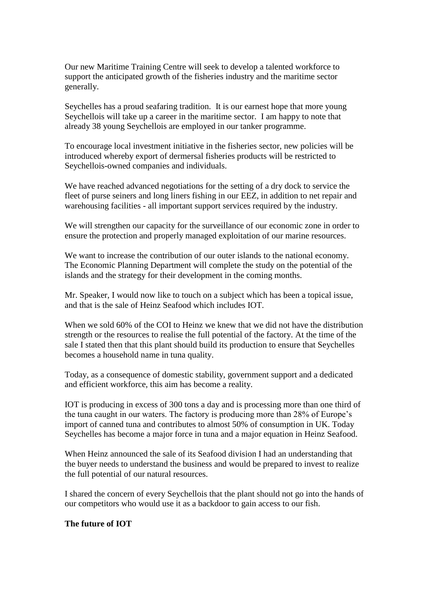Our new Maritime Training Centre will seek to develop a talented workforce to support the anticipated growth of the fisheries industry and the maritime sector generally.

Seychelles has a proud seafaring tradition. It is our earnest hope that more young Seychellois will take up a career in the maritime sector. I am happy to note that already 38 young Seychellois are employed in our tanker programme.

To encourage local investment initiative in the fisheries sector, new policies will be introduced whereby export of dermersal fisheries products will be restricted to Seychellois-owned companies and individuals.

We have reached advanced negotiations for the setting of a dry dock to service the fleet of purse seiners and long liners fishing in our EEZ, in addition to net repair and warehousing facilities - all important support services required by the industry.

We will strengthen our capacity for the surveillance of our economic zone in order to ensure the protection and properly managed exploitation of our marine resources.

We want to increase the contribution of our outer islands to the national economy. The Economic Planning Department will complete the study on the potential of the islands and the strategy for their development in the coming months.

Mr. Speaker, I would now like to touch on a subject which has been a topical issue, and that is the sale of Heinz Seafood which includes IOT.

When we sold 60% of the COI to Heinz we knew that we did not have the distribution strength or the resources to realise the full potential of the factory. At the time of the sale I stated then that this plant should build its production to ensure that Seychelles becomes a household name in tuna quality.

Today, as a consequence of domestic stability, government support and a dedicated and efficient workforce, this aim has become a reality.

IOT is producing in excess of 300 tons a day and is processing more than one third of the tuna caught in our waters. The factory is producing more than 28% of Europe"s import of canned tuna and contributes to almost 50% of consumption in UK. Today Seychelles has become a major force in tuna and a major equation in Heinz Seafood.

When Heinz announced the sale of its Seafood division I had an understanding that the buyer needs to understand the business and would be prepared to invest to realize the full potential of our natural resources.

I shared the concern of every Seychellois that the plant should not go into the hands of our competitors who would use it as a backdoor to gain access to our fish.

## **The future of IOT**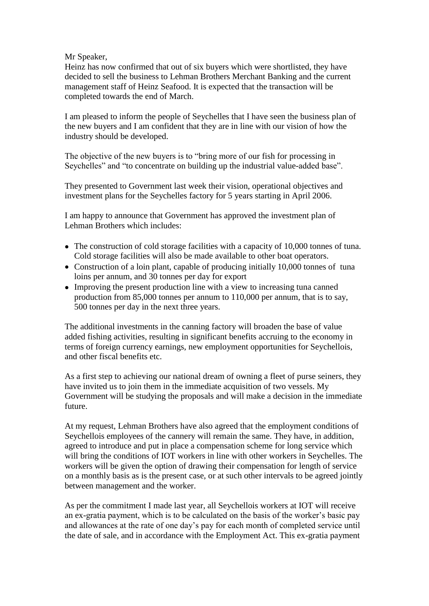## Mr Speaker,

Heinz has now confirmed that out of six buyers which were shortlisted, they have decided to sell the business to Lehman Brothers Merchant Banking and the current management staff of Heinz Seafood. It is expected that the transaction will be completed towards the end of March.

I am pleased to inform the people of Seychelles that I have seen the business plan of the new buyers and I am confident that they are in line with our vision of how the industry should be developed.

The objective of the new buyers is to "bring more of our fish for processing in Seychelles" and "to concentrate on building up the industrial value-added base".

They presented to Government last week their vision, operational objectives and investment plans for the Seychelles factory for 5 years starting in April 2006.

I am happy to announce that Government has approved the investment plan of Lehman Brothers which includes:

- The construction of cold storage facilities with a capacity of 10,000 tonnes of tuna. Cold storage facilities will also be made available to other boat operators.
- Construction of a loin plant, capable of producing initially 10,000 tonnes of tuna loins per annum, and 30 tonnes per day for export
- Improving the present production line with a view to increasing tuna canned production from 85,000 tonnes per annum to 110,000 per annum, that is to say, 500 tonnes per day in the next three years.

The additional investments in the canning factory will broaden the base of value added fishing activities, resulting in significant benefits accruing to the economy in terms of foreign currency earnings, new employment opportunities for Seychellois, and other fiscal benefits etc.

As a first step to achieving our national dream of owning a fleet of purse seiners, they have invited us to join them in the immediate acquisition of two vessels. My Government will be studying the proposals and will make a decision in the immediate future.

At my request, Lehman Brothers have also agreed that the employment conditions of Seychellois employees of the cannery will remain the same. They have, in addition, agreed to introduce and put in place a compensation scheme for long service which will bring the conditions of IOT workers in line with other workers in Seychelles. The workers will be given the option of drawing their compensation for length of service on a monthly basis as is the present case, or at such other intervals to be agreed jointly between management and the worker.

As per the commitment I made last year, all Seychellois workers at IOT will receive an ex-gratia payment, which is to be calculated on the basis of the worker"s basic pay and allowances at the rate of one day"s pay for each month of completed service until the date of sale, and in accordance with the Employment Act. This ex-gratia payment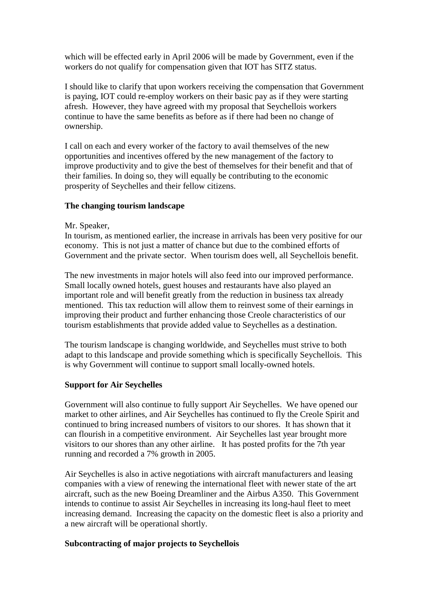which will be effected early in April 2006 will be made by Government, even if the workers do not qualify for compensation given that IOT has SITZ status.

I should like to clarify that upon workers receiving the compensation that Government is paying, IOT could re-employ workers on their basic pay as if they were starting afresh. However, they have agreed with my proposal that Seychellois workers continue to have the same benefits as before as if there had been no change of ownership.

I call on each and every worker of the factory to avail themselves of the new opportunities and incentives offered by the new management of the factory to improve productivity and to give the best of themselves for their benefit and that of their families. In doing so, they will equally be contributing to the economic prosperity of Seychelles and their fellow citizens.

## **The changing tourism landscape**

### Mr. Speaker,

In tourism, as mentioned earlier, the increase in arrivals has been very positive for our economy. This is not just a matter of chance but due to the combined efforts of Government and the private sector. When tourism does well, all Seychellois benefit.

The new investments in major hotels will also feed into our improved performance. Small locally owned hotels, guest houses and restaurants have also played an important role and will benefit greatly from the reduction in business tax already mentioned. This tax reduction will allow them to reinvest some of their earnings in improving their product and further enhancing those Creole characteristics of our tourism establishments that provide added value to Seychelles as a destination.

The tourism landscape is changing worldwide, and Seychelles must strive to both adapt to this landscape and provide something which is specifically Seychellois. This is why Government will continue to support small locally-owned hotels.

#### **Support for Air Seychelles**

Government will also continue to fully support Air Seychelles. We have opened our market to other airlines, and Air Seychelles has continued to fly the Creole Spirit and continued to bring increased numbers of visitors to our shores. It has shown that it can flourish in a competitive environment. Air Seychelles last year brought more visitors to our shores than any other airline. It has posted profits for the 7th year running and recorded a 7% growth in 2005.

Air Seychelles is also in active negotiations with aircraft manufacturers and leasing companies with a view of renewing the international fleet with newer state of the art aircraft, such as the new Boeing Dreamliner and the Airbus A350. This Government intends to continue to assist Air Seychelles in increasing its long-haul fleet to meet increasing demand. Increasing the capacity on the domestic fleet is also a priority and a new aircraft will be operational shortly.

## **Subcontracting of major projects to Seychellois**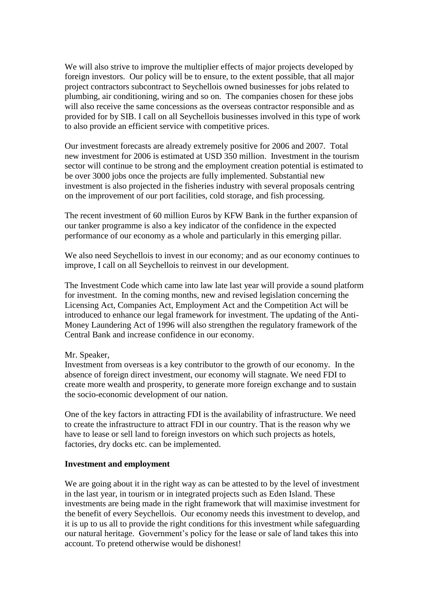We will also strive to improve the multiplier effects of major projects developed by foreign investors. Our policy will be to ensure, to the extent possible, that all major project contractors subcontract to Seychellois owned businesses for jobs related to plumbing, air conditioning, wiring and so on. The companies chosen for these jobs will also receive the same concessions as the overseas contractor responsible and as provided for by SIB. I call on all Seychellois businesses involved in this type of work to also provide an efficient service with competitive prices.

Our investment forecasts are already extremely positive for 2006 and 2007. Total new investment for 2006 is estimated at USD 350 million. Investment in the tourism sector will continue to be strong and the employment creation potential is estimated to be over 3000 jobs once the projects are fully implemented. Substantial new investment is also projected in the fisheries industry with several proposals centring on the improvement of our port facilities, cold storage, and fish processing.

The recent investment of 60 million Euros by KFW Bank in the further expansion of our tanker programme is also a key indicator of the confidence in the expected performance of our economy as a whole and particularly in this emerging pillar.

We also need Seychellois to invest in our economy; and as our economy continues to improve, I call on all Seychellois to reinvest in our development.

The Investment Code which came into law late last year will provide a sound platform for investment. In the coming months, new and revised legislation concerning the Licensing Act, Companies Act, Employment Act and the Competition Act will be introduced to enhance our legal framework for investment. The updating of the Anti-Money Laundering Act of 1996 will also strengthen the regulatory framework of the Central Bank and increase confidence in our economy.

#### Mr. Speaker,

Investment from overseas is a key contributor to the growth of our economy. In the absence of foreign direct investment, our economy will stagnate. We need FDI to create more wealth and prosperity, to generate more foreign exchange and to sustain the socio-economic development of our nation.

One of the key factors in attracting FDI is the availability of infrastructure. We need to create the infrastructure to attract FDI in our country. That is the reason why we have to lease or sell land to foreign investors on which such projects as hotels, factories, dry docks etc. can be implemented.

## **Investment and employment**

We are going about it in the right way as can be attested to by the level of investment in the last year, in tourism or in integrated projects such as Eden Island. These investments are being made in the right framework that will maximise investment for the benefit of every Seychellois. Our economy needs this investment to develop, and it is up to us all to provide the right conditions for this investment while safeguarding our natural heritage. Government"s policy for the lease or sale of land takes this into account. To pretend otherwise would be dishonest!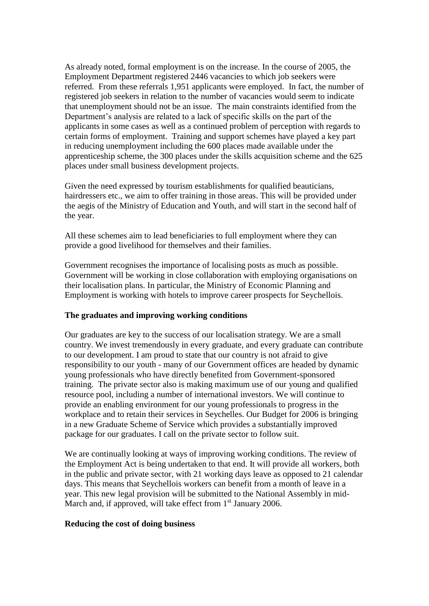As already noted, formal employment is on the increase. In the course of 2005, the Employment Department registered 2446 vacancies to which job seekers were referred. From these referrals 1,951 applicants were employed. In fact, the number of registered job seekers in relation to the number of vacancies would seem to indicate that unemployment should not be an issue. The main constraints identified from the Department's analysis are related to a lack of specific skills on the part of the applicants in some cases as well as a continued problem of perception with regards to certain forms of employment. Training and support schemes have played a key part in reducing unemployment including the 600 places made available under the apprenticeship scheme, the 300 places under the skills acquisition scheme and the 625 places under small business development projects.

Given the need expressed by tourism establishments for qualified beauticians, hairdressers etc., we aim to offer training in those areas. This will be provided under the aegis of the Ministry of Education and Youth, and will start in the second half of the year.

All these schemes aim to lead beneficiaries to full employment where they can provide a good livelihood for themselves and their families.

Government recognises the importance of localising posts as much as possible. Government will be working in close collaboration with employing organisations on their localisation plans. In particular, the Ministry of Economic Planning and Employment is working with hotels to improve career prospects for Seychellois.

## **The graduates and improving working conditions**

Our graduates are key to the success of our localisation strategy. We are a small country. We invest tremendously in every graduate, and every graduate can contribute to our development. I am proud to state that our country is not afraid to give responsibility to our youth - many of our Government offices are headed by dynamic young professionals who have directly benefited from Government-sponsored training. The private sector also is making maximum use of our young and qualified resource pool, including a number of international investors. We will continue to provide an enabling environment for our young professionals to progress in the workplace and to retain their services in Seychelles. Our Budget for 2006 is bringing in a new Graduate Scheme of Service which provides a substantially improved package for our graduates. I call on the private sector to follow suit.

We are continually looking at ways of improving working conditions. The review of the Employment Act is being undertaken to that end. It will provide all workers, both in the public and private sector, with 21 working days leave as opposed to 21 calendar days. This means that Seychellois workers can benefit from a month of leave in a year. This new legal provision will be submitted to the National Assembly in mid-March and, if approved, will take effect from  $1<sup>st</sup>$  January 2006.

### **Reducing the cost of doing business**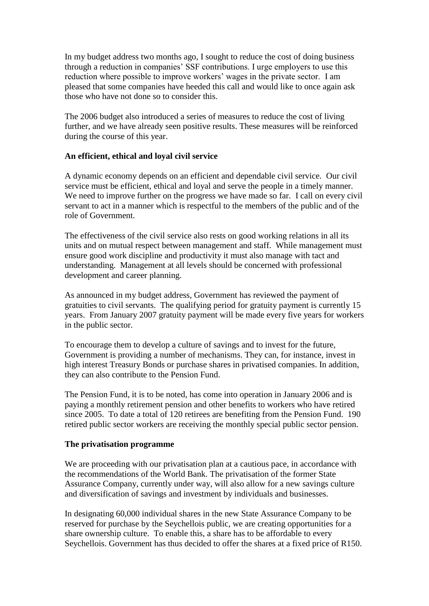In my budget address two months ago, I sought to reduce the cost of doing business through a reduction in companies" SSF contributions. I urge employers to use this reduction where possible to improve workers' wages in the private sector. I am pleased that some companies have heeded this call and would like to once again ask those who have not done so to consider this.

The 2006 budget also introduced a series of measures to reduce the cost of living further, and we have already seen positive results. These measures will be reinforced during the course of this year.

# **An efficient, ethical and loyal civil service**

A dynamic economy depends on an efficient and dependable civil service. Our civil service must be efficient, ethical and loyal and serve the people in a timely manner. We need to improve further on the progress we have made so far. I call on every civil servant to act in a manner which is respectful to the members of the public and of the role of Government.

The effectiveness of the civil service also rests on good working relations in all its units and on mutual respect between management and staff. While management must ensure good work discipline and productivity it must also manage with tact and understanding. Management at all levels should be concerned with professional development and career planning.

As announced in my budget address, Government has reviewed the payment of gratuities to civil servants. The qualifying period for gratuity payment is currently 15 years. From January 2007 gratuity payment will be made every five years for workers in the public sector.

To encourage them to develop a culture of savings and to invest for the future, Government is providing a number of mechanisms. They can, for instance, invest in high interest Treasury Bonds or purchase shares in privatised companies. In addition, they can also contribute to the Pension Fund.

The Pension Fund, it is to be noted, has come into operation in January 2006 and is paying a monthly retirement pension and other benefits to workers who have retired since 2005. To date a total of 120 retirees are benefiting from the Pension Fund. 190 retired public sector workers are receiving the monthly special public sector pension.

## **The privatisation programme**

We are proceeding with our privatisation plan at a cautious pace, in accordance with the recommendations of the World Bank. The privatisation of the former State Assurance Company, currently under way, will also allow for a new savings culture and diversification of savings and investment by individuals and businesses.

In designating 60,000 individual shares in the new State Assurance Company to be reserved for purchase by the Seychellois public, we are creating opportunities for a share ownership culture. To enable this, a share has to be affordable to every Seychellois. Government has thus decided to offer the shares at a fixed price of R150.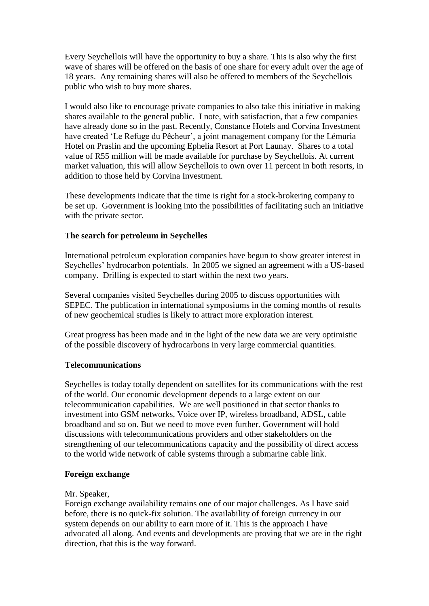Every Seychellois will have the opportunity to buy a share. This is also why the first wave of shares will be offered on the basis of one share for every adult over the age of 18 years. Any remaining shares will also be offered to members of the Seychellois public who wish to buy more shares.

I would also like to encourage private companies to also take this initiative in making shares available to the general public. I note, with satisfaction, that a few companies have already done so in the past. Recently, Constance Hotels and Corvina Investment have created 'Le Refuge du Pêcheur', a joint management company for the Lémuria Hotel on Praslin and the upcoming Ephelia Resort at Port Launay. Shares to a total value of R55 million will be made available for purchase by Seychellois. At current market valuation, this will allow Seychellois to own over 11 percent in both resorts, in addition to those held by Corvina Investment.

These developments indicate that the time is right for a stock-brokering company to be set up. Government is looking into the possibilities of facilitating such an initiative with the private sector.

## **The search for petroleum in Seychelles**

International petroleum exploration companies have begun to show greater interest in Seychelles" hydrocarbon potentials. In 2005 we signed an agreement with a US-based company. Drilling is expected to start within the next two years.

Several companies visited Seychelles during 2005 to discuss opportunities with SEPEC. The publication in international symposiums in the coming months of results of new geochemical studies is likely to attract more exploration interest.

Great progress has been made and in the light of the new data we are very optimistic of the possible discovery of hydrocarbons in very large commercial quantities.

# **Telecommunications**

Seychelles is today totally dependent on satellites for its communications with the rest of the world. Our economic development depends to a large extent on our telecommunication capabilities. We are well positioned in that sector thanks to investment into GSM networks, Voice over IP, wireless broadband, ADSL, cable broadband and so on. But we need to move even further. Government will hold discussions with telecommunications providers and other stakeholders on the strengthening of our telecommunications capacity and the possibility of direct access to the world wide network of cable systems through a submarine cable link.

## **Foreign exchange**

## Mr. Speaker,

Foreign exchange availability remains one of our major challenges. As I have said before, there is no quick-fix solution. The availability of foreign currency in our system depends on our ability to earn more of it. This is the approach I have advocated all along. And events and developments are proving that we are in the right direction, that this is the way forward.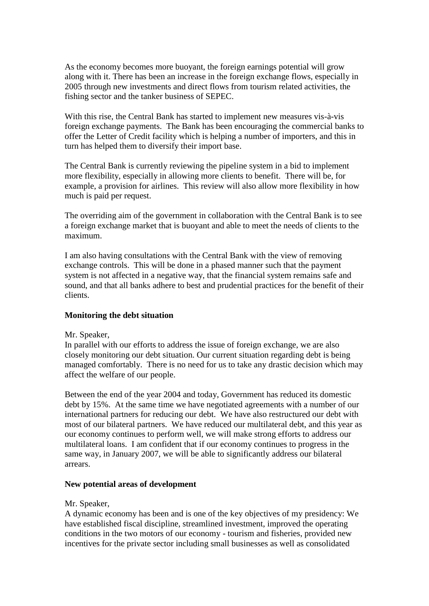As the economy becomes more buoyant, the foreign earnings potential will grow along with it. There has been an increase in the foreign exchange flows, especially in 2005 through new investments and direct flows from tourism related activities, the fishing sector and the tanker business of SEPEC.

With this rise, the Central Bank has started to implement new measures vis-à-vis foreign exchange payments. The Bank has been encouraging the commercial banks to offer the Letter of Credit facility which is helping a number of importers, and this in turn has helped them to diversify their import base.

The Central Bank is currently reviewing the pipeline system in a bid to implement more flexibility, especially in allowing more clients to benefit. There will be, for example, a provision for airlines. This review will also allow more flexibility in how much is paid per request.

The overriding aim of the government in collaboration with the Central Bank is to see a foreign exchange market that is buoyant and able to meet the needs of clients to the maximum.

I am also having consultations with the Central Bank with the view of removing exchange controls. This will be done in a phased manner such that the payment system is not affected in a negative way, that the financial system remains safe and sound, and that all banks adhere to best and prudential practices for the benefit of their clients.

# **Monitoring the debt situation**

## Mr. Speaker,

In parallel with our efforts to address the issue of foreign exchange, we are also closely monitoring our debt situation. Our current situation regarding debt is being managed comfortably. There is no need for us to take any drastic decision which may affect the welfare of our people.

Between the end of the year 2004 and today, Government has reduced its domestic debt by 15%. At the same time we have negotiated agreements with a number of our international partners for reducing our debt. We have also restructured our debt with most of our bilateral partners. We have reduced our multilateral debt, and this year as our economy continues to perform well, we will make strong efforts to address our multilateral loans. I am confident that if our economy continues to progress in the same way, in January 2007, we will be able to significantly address our bilateral arrears.

#### **New potential areas of development**

## Mr. Speaker,

A dynamic economy has been and is one of the key objectives of my presidency: We have established fiscal discipline, streamlined investment, improved the operating conditions in the two motors of our economy - tourism and fisheries, provided new incentives for the private sector including small businesses as well as consolidated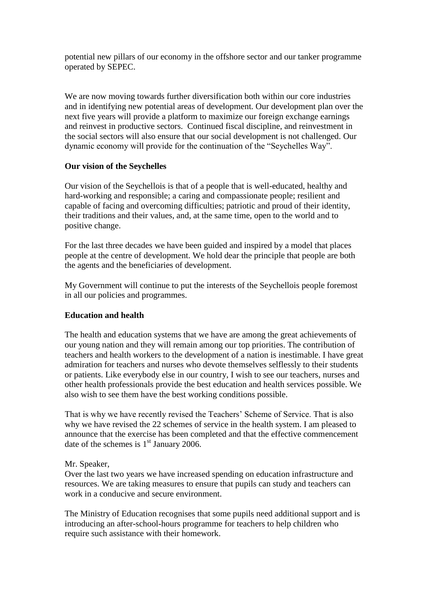potential new pillars of our economy in the offshore sector and our tanker programme operated by SEPEC.

We are now moving towards further diversification both within our core industries and in identifying new potential areas of development. Our development plan over the next five years will provide a platform to maximize our foreign exchange earnings and reinvest in productive sectors. Continued fiscal discipline, and reinvestment in the social sectors will also ensure that our social development is not challenged. Our dynamic economy will provide for the continuation of the "Seychelles Way".

## **Our vision of the Seychelles**

Our vision of the Seychellois is that of a people that is well-educated, healthy and hard-working and responsible; a caring and compassionate people; resilient and capable of facing and overcoming difficulties; patriotic and proud of their identity, their traditions and their values, and, at the same time, open to the world and to positive change.

For the last three decades we have been guided and inspired by a model that places people at the centre of development. We hold dear the principle that people are both the agents and the beneficiaries of development.

My Government will continue to put the interests of the Seychellois people foremost in all our policies and programmes.

# **Education and health**

The health and education systems that we have are among the great achievements of our young nation and they will remain among our top priorities. The contribution of teachers and health workers to the development of a nation is inestimable. I have great admiration for teachers and nurses who devote themselves selflessly to their students or patients. Like everybody else in our country, I wish to see our teachers, nurses and other health professionals provide the best education and health services possible. We also wish to see them have the best working conditions possible.

That is why we have recently revised the Teachers" Scheme of Service. That is also why we have revised the 22 schemes of service in the health system. I am pleased to announce that the exercise has been completed and that the effective commencement date of the schemes is  $1<sup>st</sup>$  January 2006.

## Mr. Speaker,

Over the last two years we have increased spending on education infrastructure and resources. We are taking measures to ensure that pupils can study and teachers can work in a conducive and secure environment.

The Ministry of Education recognises that some pupils need additional support and is introducing an after-school-hours programme for teachers to help children who require such assistance with their homework.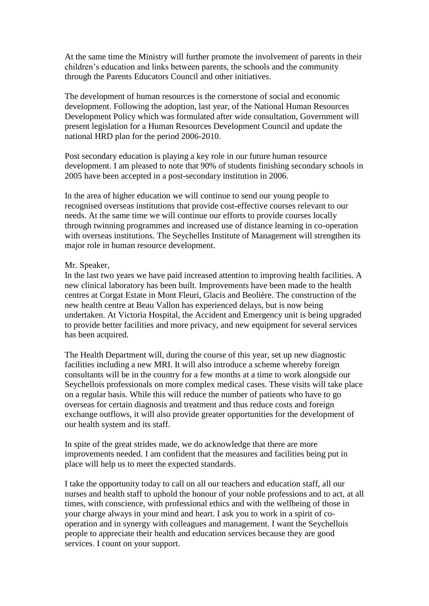At the same time the Ministry will further promote the involvement of parents in their children"s education and links between parents, the schools and the community through the Parents Educators Council and other initiatives.

The development of human resources is the cornerstone of social and economic development. Following the adoption, last year, of the National Human Resources Development Policy which was formulated after wide consultation, Government will present legislation for a Human Resources Development Council and update the national HRD plan for the period 2006-2010.

Post secondary education is playing a key role in our future human resource development. I am pleased to note that 90% of students finishing secondary schools in 2005 have been accepted in a post-secondary institution in 2006.

In the area of higher education we will continue to send our young people to recognised overseas institutions that provide cost-effective courses relevant to our needs. At the same time we will continue our efforts to provide courses locally through twinning programmes and increased use of distance learning in co-operation with overseas institutions. The Seychelles Institute of Management will strengthen its major role in human resource development.

### Mr. Speaker,

In the last two years we have paid increased attention to improving health facilities. A new clinical laboratory has been built. Improvements have been made to the health centres at Corgat Estate in Mont Fleuri, Glacis and Beolière. The construction of the new health centre at Beau Vallon has experienced delays, but is now being undertaken. At Victoria Hospital, the Accident and Emergency unit is being upgraded to provide better facilities and more privacy, and new equipment for several services has been acquired.

The Health Department will, during the course of this year, set up new diagnostic facilities including a new MRI. It will also introduce a scheme whereby foreign consultants will be in the country for a few months at a time to work alongside our Seychellois professionals on more complex medical cases. These visits will take place on a regular basis. While this will reduce the number of patients who have to go overseas for certain diagnosis and treatment and thus reduce costs and foreign exchange outflows, it will also provide greater opportunities for the development of our health system and its staff.

In spite of the great strides made, we do acknowledge that there are more improvements needed. I am confident that the measures and facilities being put in place will help us to meet the expected standards.

I take the opportunity today to call on all our teachers and education staff, all our nurses and health staff to uphold the honour of your noble professions and to act, at all times, with conscience, with professional ethics and with the wellbeing of those in your charge always in your mind and heart. I ask you to work in a spirit of cooperation and in synergy with colleagues and management. I want the Seychellois people to appreciate their health and education services because they are good services. I count on your support.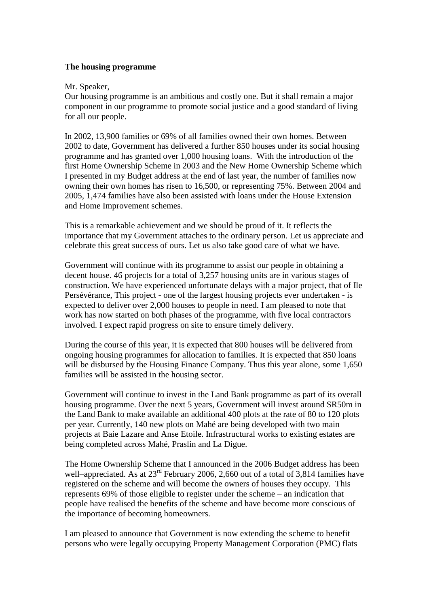### **The housing programme**

#### Mr. Speaker,

Our housing programme is an ambitious and costly one. But it shall remain a major component in our programme to promote social justice and a good standard of living for all our people.

In 2002, 13,900 families or 69% of all families owned their own homes. Between 2002 to date, Government has delivered a further 850 houses under its social housing programme and has granted over 1,000 housing loans. With the introduction of the first Home Ownership Scheme in 2003 and the New Home Ownership Scheme which I presented in my Budget address at the end of last year, the number of families now owning their own homes has risen to 16,500, or representing 75%. Between 2004 and 2005, 1,474 families have also been assisted with loans under the House Extension and Home Improvement schemes.

This is a remarkable achievement and we should be proud of it. It reflects the importance that my Government attaches to the ordinary person. Let us appreciate and celebrate this great success of ours. Let us also take good care of what we have.

Government will continue with its programme to assist our people in obtaining a decent house. 46 projects for a total of 3,257 housing units are in various stages of construction. We have experienced unfortunate delays with a major project, that of Ile Persévérance, This project - one of the largest housing projects ever undertaken - is expected to deliver over 2,000 houses to people in need. I am pleased to note that work has now started on both phases of the programme, with five local contractors involved. I expect rapid progress on site to ensure timely delivery.

During the course of this year, it is expected that 800 houses will be delivered from ongoing housing programmes for allocation to families. It is expected that 850 loans will be disbursed by the Housing Finance Company. Thus this year alone, some 1,650 families will be assisted in the housing sector.

Government will continue to invest in the Land Bank programme as part of its overall housing programme. Over the next 5 years, Government will invest around SR50m in the Land Bank to make available an additional 400 plots at the rate of 80 to 120 plots per year. Currently, 140 new plots on Mahé are being developed with two main projects at Baie Lazare and Anse Etoile. Infrastructural works to existing estates are being completed across Mahé, Praslin and La Digue.

The Home Ownership Scheme that I announced in the 2006 Budget address has been well–appreciated. As at 23<sup>rd</sup> February 2006, 2,660 out of a total of 3,814 families have registered on the scheme and will become the owners of houses they occupy. This represents 69% of those eligible to register under the scheme – an indication that people have realised the benefits of the scheme and have become more conscious of the importance of becoming homeowners.

I am pleased to announce that Government is now extending the scheme to benefit persons who were legally occupying Property Management Corporation (PMC) flats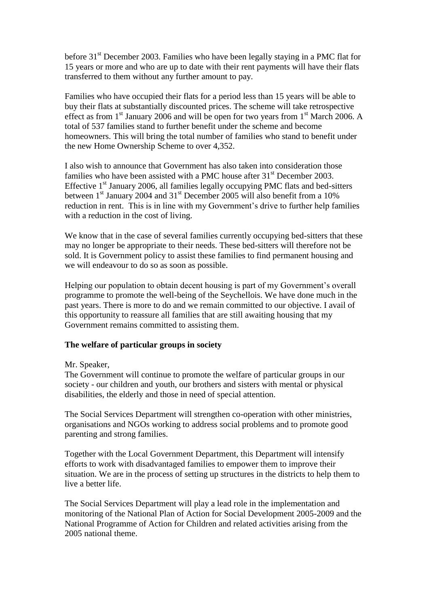before 31<sup>st</sup> December 2003. Families who have been legally staying in a PMC flat for 15 years or more and who are up to date with their rent payments will have their flats transferred to them without any further amount to pay.

Families who have occupied their flats for a period less than 15 years will be able to buy their flats at substantially discounted prices. The scheme will take retrospective effect as from  $1<sup>st</sup>$  January 2006 and will be open for two years from  $1<sup>st</sup>$  March 2006. A total of 537 families stand to further benefit under the scheme and become homeowners. This will bring the total number of families who stand to benefit under the new Home Ownership Scheme to over 4,352.

I also wish to announce that Government has also taken into consideration those families who have been assisted with a PMC house after  $31<sup>st</sup>$  December 2003. Effective  $1<sup>st</sup>$  January 2006, all families legally occupying PMC flats and bed-sitters between 1<sup>st</sup> January 2004 and 31<sup>st</sup> December 2005 will also benefit from a 10% reduction in rent. This is in line with my Government's drive to further help families with a reduction in the cost of living.

We know that in the case of several families currently occupying bed-sitters that these may no longer be appropriate to their needs. These bed-sitters will therefore not be sold. It is Government policy to assist these families to find permanent housing and we will endeavour to do so as soon as possible.

Helping our population to obtain decent housing is part of my Government's overall programme to promote the well-being of the Seychellois. We have done much in the past years. There is more to do and we remain committed to our objective. I avail of this opportunity to reassure all families that are still awaiting housing that my Government remains committed to assisting them.

## **The welfare of particular groups in society**

## Mr. Speaker,

The Government will continue to promote the welfare of particular groups in our society - our children and youth, our brothers and sisters with mental or physical disabilities, the elderly and those in need of special attention.

The Social Services Department will strengthen co-operation with other ministries, organisations and NGOs working to address social problems and to promote good parenting and strong families.

Together with the Local Government Department, this Department will intensify efforts to work with disadvantaged families to empower them to improve their situation. We are in the process of setting up structures in the districts to help them to live a better life.

The Social Services Department will play a lead role in the implementation and monitoring of the National Plan of Action for Social Development 2005-2009 and the National Programme of Action for Children and related activities arising from the 2005 national theme.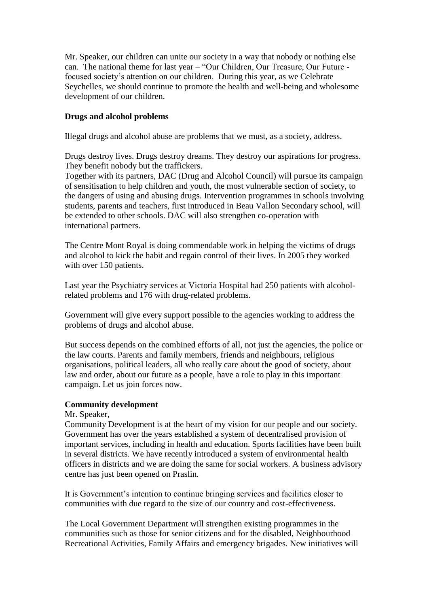Mr. Speaker, our children can unite our society in a way that nobody or nothing else can. The national theme for last year – "Our Children, Our Treasure, Our Future focused society"s attention on our children. During this year, as we Celebrate Seychelles, we should continue to promote the health and well-being and wholesome development of our children.

# **Drugs and alcohol problems**

Illegal drugs and alcohol abuse are problems that we must, as a society, address.

Drugs destroy lives. Drugs destroy dreams. They destroy our aspirations for progress. They benefit nobody but the traffickers.

Together with its partners, DAC (Drug and Alcohol Council) will pursue its campaign of sensitisation to help children and youth, the most vulnerable section of society, to the dangers of using and abusing drugs. Intervention programmes in schools involving students, parents and teachers, first introduced in Beau Vallon Secondary school, will be extended to other schools. DAC will also strengthen co-operation with international partners.

The Centre Mont Royal is doing commendable work in helping the victims of drugs and alcohol to kick the habit and regain control of their lives. In 2005 they worked with over 150 patients.

Last year the Psychiatry services at Victoria Hospital had 250 patients with alcoholrelated problems and 176 with drug-related problems.

Government will give every support possible to the agencies working to address the problems of drugs and alcohol abuse.

But success depends on the combined efforts of all, not just the agencies, the police or the law courts. Parents and family members, friends and neighbours, religious organisations, political leaders, all who really care about the good of society, about law and order, about our future as a people, have a role to play in this important campaign. Let us join forces now.

# **Community development**

## Mr. Speaker,

Community Development is at the heart of my vision for our people and our society. Government has over the years established a system of decentralised provision of important services, including in health and education. Sports facilities have been built in several districts. We have recently introduced a system of environmental health officers in districts and we are doing the same for social workers. A business advisory centre has just been opened on Praslin.

It is Government"s intention to continue bringing services and facilities closer to communities with due regard to the size of our country and cost-effectiveness.

The Local Government Department will strengthen existing programmes in the communities such as those for senior citizens and for the disabled, Neighbourhood Recreational Activities, Family Affairs and emergency brigades. New initiatives will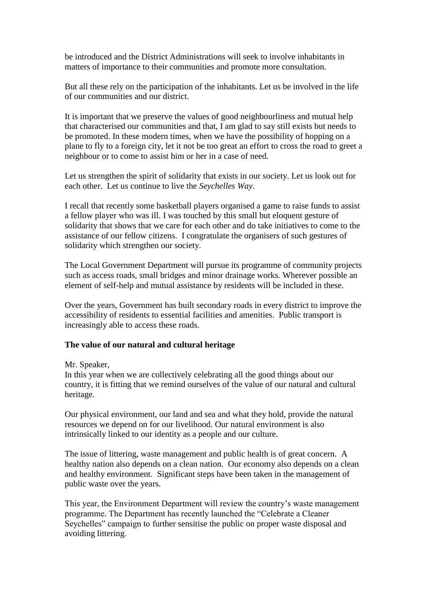be introduced and the District Administrations will seek to involve inhabitants in matters of importance to their communities and promote more consultation.

But all these rely on the participation of the inhabitants. Let us be involved in the life of our communities and our district.

It is important that we preserve the values of good neighbourliness and mutual help that characterised our communities and that, I am glad to say still exists but needs to be promoted. In these modern times, when we have the possibility of hopping on a plane to fly to a foreign city, let it not be too great an effort to cross the road to greet a neighbour or to come to assist him or her in a case of need.

Let us strengthen the spirit of solidarity that exists in our society. Let us look out for each other. Let us continue to live the *Seychelles Way*.

I recall that recently some basketball players organised a game to raise funds to assist a fellow player who was ill. I was touched by this small but eloquent gesture of solidarity that shows that we care for each other and do take initiatives to come to the assistance of our fellow citizens. I congratulate the organisers of such gestures of solidarity which strengthen our society.

The Local Government Department will pursue its programme of community projects such as access roads, small bridges and minor drainage works. Wherever possible an element of self-help and mutual assistance by residents will be included in these.

Over the years, Government has built secondary roads in every district to improve the accessibility of residents to essential facilities and amenities. Public transport is increasingly able to access these roads.

## **The value of our natural and cultural heritage**

Mr. Speaker,

In this year when we are collectively celebrating all the good things about our country, it is fitting that we remind ourselves of the value of our natural and cultural heritage.

Our physical environment, our land and sea and what they hold, provide the natural resources we depend on for our livelihood. Our natural environment is also intrinsically linked to our identity as a people and our culture.

The issue of littering, waste management and public health is of great concern. A healthy nation also depends on a clean nation. Our economy also depends on a clean and healthy environment. Significant steps have been taken in the management of public waste over the years.

This year, the Environment Department will review the country"s waste management programme. The Department has recently launched the "Celebrate a Cleaner Seychelles" campaign to further sensitise the public on proper waste disposal and avoiding littering.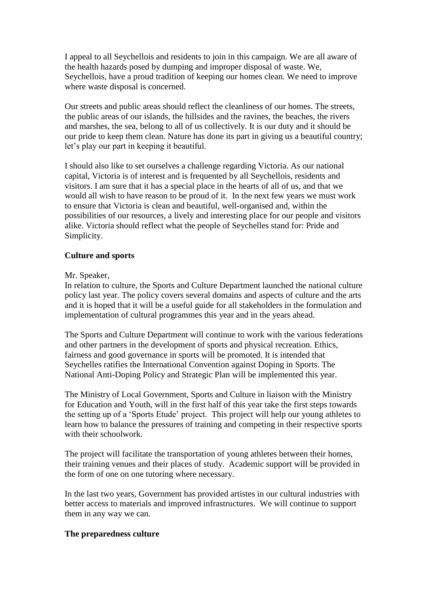I appeal to all Seychellois and residents to join in this campaign. We are all aware of the health hazards posed by dumping and improper disposal of waste. We, Seychellois, have a proud tradition of keeping our homes clean. We need to improve where waste disposal is concerned.

Our streets and public areas should reflect the cleanliness of our homes. The streets, the public areas of our islands, the hillsides and the ravines, the beaches, the rivers and marshes, the sea, belong to all of us collectively. It is our duty and it should be our pride to keep them clean. Nature has done its part in giving us a beautiful country; let"s play our part in keeping it beautiful.

I should also like to set ourselves a challenge regarding Victoria. As our national capital, Victoria is of interest and is frequented by all Seychellois, residents and visitors. I am sure that it has a special place in the hearts of all of us, and that we would all wish to have reason to be proud of it. In the next few years we must work to ensure that Victoria is clean and beautiful, well-organised and, within the possibilities of our resources, a lively and interesting place for our people and visitors alike. Victoria should reflect what the people of Seychelles stand for: Pride and Simplicity.

## **Culture and sports**

## Mr. Speaker,

In relation to culture, the Sports and Culture Department launched the national culture policy last year. The policy covers several domains and aspects of culture and the arts and it is hoped that it will be a useful guide for all stakeholders in the formulation and implementation of cultural programmes this year and in the years ahead.

The Sports and Culture Department will continue to work with the various federations and other partners in the development of sports and physical recreation. Ethics, fairness and good governance in sports will be promoted. It is intended that Seychelles ratifies the International Convention against Doping in Sports. The National Anti-Doping Policy and Strategic Plan will be implemented this year.

The Ministry of Local Government, Sports and Culture in liaison with the Ministry for Education and Youth, will in the first half of this year take the first steps towards the setting up of a "Sports Etude" project. This project will help our young athletes to learn how to balance the pressures of training and competing in their respective sports with their schoolwork.

The project will facilitate the transportation of young athletes between their homes, their training venues and their places of study. Academic support will be provided in the form of one on one tutoring where necessary.

In the last two years, Government has provided artistes in our cultural industries with better access to materials and improved infrastructures. We will continue to support them in any way we can.

## **The preparedness culture**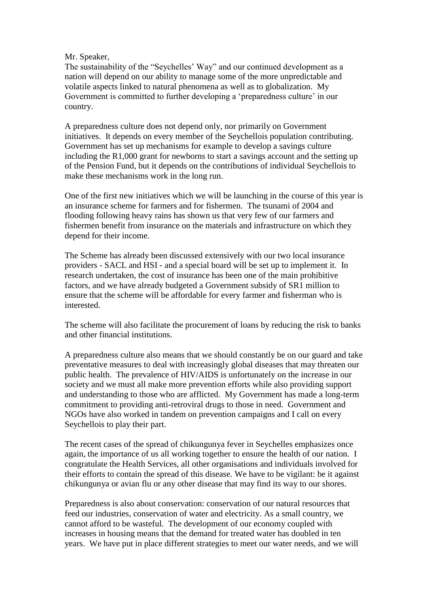## Mr. Speaker,

The sustainability of the "Seychelles' Way" and our continued development as a nation will depend on our ability to manage some of the more unpredictable and volatile aspects linked to natural phenomena as well as to globalization. My Government is committed to further developing a 'preparedness culture' in our country.

A preparedness culture does not depend only, nor primarily on Government initiatives. It depends on every member of the Seychellois population contributing. Government has set up mechanisms for example to develop a savings culture including the R1,000 grant for newborns to start a savings account and the setting up of the Pension Fund, but it depends on the contributions of individual Seychellois to make these mechanisms work in the long run.

One of the first new initiatives which we will be launching in the course of this year is an insurance scheme for farmers and for fishermen. The tsunami of 2004 and flooding following heavy rains has shown us that very few of our farmers and fishermen benefit from insurance on the materials and infrastructure on which they depend for their income.

The Scheme has already been discussed extensively with our two local insurance providers - SACL and HSI - and a special board will be set up to implement it. In research undertaken, the cost of insurance has been one of the main prohibitive factors, and we have already budgeted a Government subsidy of SR1 million to ensure that the scheme will be affordable for every farmer and fisherman who is interested.

The scheme will also facilitate the procurement of loans by reducing the risk to banks and other financial institutions.

A preparedness culture also means that we should constantly be on our guard and take preventative measures to deal with increasingly global diseases that may threaten our public health. The prevalence of HIV/AIDS is unfortunately on the increase in our society and we must all make more prevention efforts while also providing support and understanding to those who are afflicted. My Government has made a long-term commitment to providing anti-retroviral drugs to those in need. Government and NGOs have also worked in tandem on prevention campaigns and I call on every Seychellois to play their part.

The recent cases of the spread of chikungunya fever in Seychelles emphasizes once again, the importance of us all working together to ensure the health of our nation. I congratulate the Health Services, all other organisations and individuals involved for their efforts to contain the spread of this disease. We have to be vigilant: be it against chikungunya or avian flu or any other disease that may find its way to our shores.

Preparedness is also about conservation: conservation of our natural resources that feed our industries, conservation of water and electricity. As a small country, we cannot afford to be wasteful. The development of our economy coupled with increases in housing means that the demand for treated water has doubled in ten years. We have put in place different strategies to meet our water needs, and we will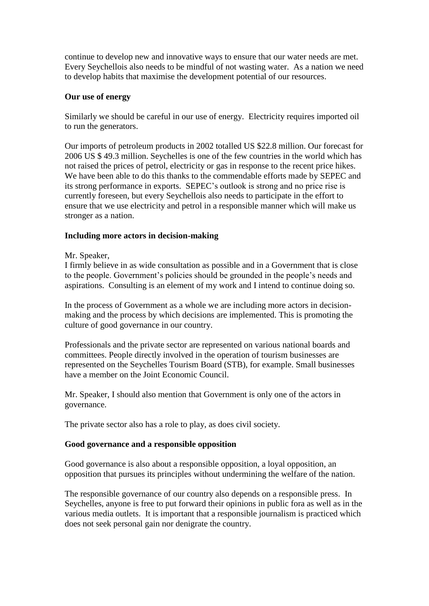continue to develop new and innovative ways to ensure that our water needs are met. Every Seychellois also needs to be mindful of not wasting water. As a nation we need to develop habits that maximise the development potential of our resources.

# **Our use of energy**

Similarly we should be careful in our use of energy. Electricity requires imported oil to run the generators.

Our imports of petroleum products in 2002 totalled US \$22.8 million. Our forecast for 2006 US \$ 49.3 million. Seychelles is one of the few countries in the world which has not raised the prices of petrol, electricity or gas in response to the recent price hikes. We have been able to do this thanks to the commendable efforts made by SEPEC and its strong performance in exports. SEPEC"s outlook is strong and no price rise is currently foreseen, but every Seychellois also needs to participate in the effort to ensure that we use electricity and petrol in a responsible manner which will make us stronger as a nation.

## **Including more actors in decision-making**

Mr. Speaker,

I firmly believe in as wide consultation as possible and in a Government that is close to the people. Government"s policies should be grounded in the people"s needs and aspirations. Consulting is an element of my work and I intend to continue doing so.

In the process of Government as a whole we are including more actors in decisionmaking and the process by which decisions are implemented. This is promoting the culture of good governance in our country.

Professionals and the private sector are represented on various national boards and committees. People directly involved in the operation of tourism businesses are represented on the Seychelles Tourism Board (STB), for example. Small businesses have a member on the Joint Economic Council.

Mr. Speaker, I should also mention that Government is only one of the actors in governance.

The private sector also has a role to play, as does civil society.

## **Good governance and a responsible opposition**

Good governance is also about a responsible opposition, a loyal opposition, an opposition that pursues its principles without undermining the welfare of the nation.

The responsible governance of our country also depends on a responsible press. In Seychelles, anyone is free to put forward their opinions in public fora as well as in the various media outlets. It is important that a responsible journalism is practiced which does not seek personal gain nor denigrate the country.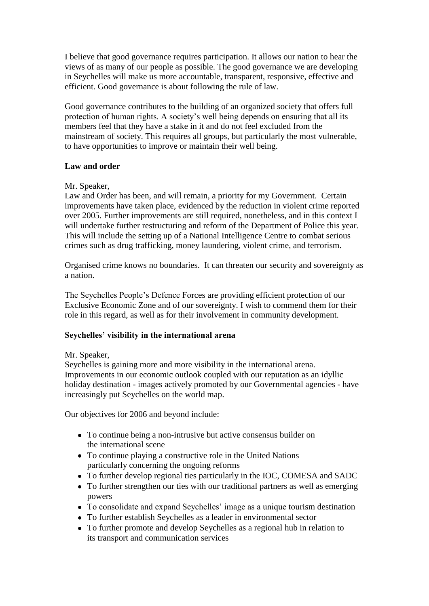I believe that good governance requires participation. It allows our nation to hear the views of as many of our people as possible. The good governance we are developing in Seychelles will make us more accountable, transparent, responsive, effective and efficient. Good governance is about following the rule of law.

Good governance contributes to the building of an organized society that offers full protection of human rights. A society"s well being depends on ensuring that all its members feel that they have a stake in it and do not feel excluded from the mainstream of society. This requires all groups, but particularly the most vulnerable, to have opportunities to improve or maintain their well being.

## **Law and order**

## Mr. Speaker,

Law and Order has been, and will remain, a priority for my Government. Certain improvements have taken place, evidenced by the reduction in violent crime reported over 2005. Further improvements are still required, nonetheless, and in this context I will undertake further restructuring and reform of the Department of Police this year. This will include the setting up of a National Intelligence Centre to combat serious crimes such as drug trafficking, money laundering, violent crime, and terrorism.

Organised crime knows no boundaries. It can threaten our security and sovereignty as a nation.

The Seychelles People"s Defence Forces are providing efficient protection of our Exclusive Economic Zone and of our sovereignty. I wish to commend them for their role in this regard, as well as for their involvement in community development.

## **Seychelles' visibility in the international arena**

## Mr. Speaker,

Seychelles is gaining more and more visibility in the international arena. Improvements in our economic outlook coupled with our reputation as an idyllic holiday destination - images actively promoted by our Governmental agencies - have increasingly put Seychelles on the world map.

Our objectives for 2006 and beyond include:

- To continue being a non-intrusive but active consensus builder on the international scene
- To continue playing a constructive role in the United Nations particularly concerning the ongoing reforms
- To further develop regional ties particularly in the IOC, COMESA and SADC
- To further strengthen our ties with our traditional partners as well as emerging powers
- To consolidate and expand Seychelles' image as a unique tourism destination
- To further establish Seychelles as a leader in environmental sector
- To further promote and develop Seychelles as a regional hub in relation to its transport and communication services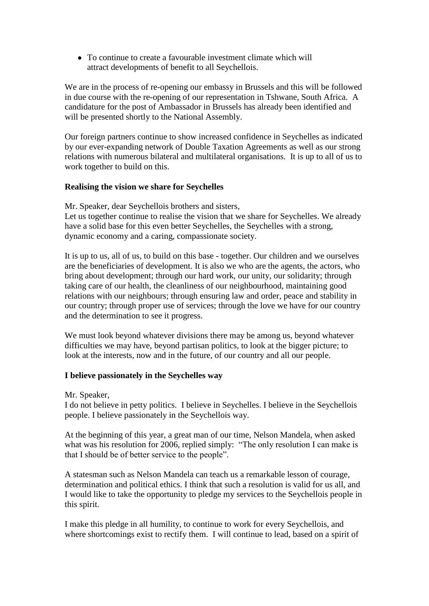To continue to create a favourable investment climate which will attract developments of benefit to all Seychellois.

We are in the process of re-opening our embassy in Brussels and this will be followed in due course with the re-opening of our representation in Tshwane, South Africa. A candidature for the post of Ambassador in Brussels has already been identified and will be presented shortly to the National Assembly.

Our foreign partners continue to show increased confidence in Seychelles as indicated by our ever-expanding network of Double Taxation Agreements as well as our strong relations with numerous bilateral and multilateral organisations. It is up to all of us to work together to build on this.

### **Realising the vision we share for Seychelles**

Mr. Speaker, dear Seychellois brothers and sisters, Let us together continue to realise the vision that we share for Seychelles. We already have a solid base for this even better Seychelles, the Seychelles with a strong, dynamic economy and a caring, compassionate society.

It is up to us, all of us, to build on this base - together. Our children and we ourselves are the beneficiaries of development. It is also we who are the agents, the actors, who bring about development; through our hard work, our unity, our solidarity; through taking care of our health, the cleanliness of our neighbourhood, maintaining good relations with our neighbours; through ensuring law and order, peace and stability in our country; through proper use of services; through the love we have for our country and the determination to see it progress.

We must look beyond whatever divisions there may be among us, beyond whatever difficulties we may have, beyond partisan politics, to look at the bigger picture; to look at the interests, now and in the future, of our country and all our people.

#### **I believe passionately in the Seychelles way**

Mr. Speaker,

I do not believe in petty politics. I believe in Seychelles. I believe in the Seychellois people. I believe passionately in the Seychellois way.

At the beginning of this year, a great man of our time, Nelson Mandela, when asked what was his resolution for 2006, replied simply: "The only resolution I can make is that I should be of better service to the people".

A statesman such as Nelson Mandela can teach us a remarkable lesson of courage, determination and political ethics. I think that such a resolution is valid for us all, and I would like to take the opportunity to pledge my services to the Seychellois people in this spirit.

I make this pledge in all humility, to continue to work for every Seychellois, and where shortcomings exist to rectify them. I will continue to lead, based on a spirit of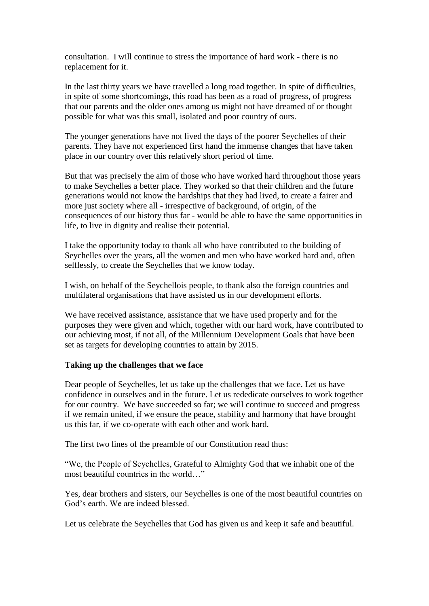consultation. I will continue to stress the importance of hard work - there is no replacement for it.

In the last thirty years we have travelled a long road together. In spite of difficulties, in spite of some shortcomings, this road has been as a road of progress, of progress that our parents and the older ones among us might not have dreamed of or thought possible for what was this small, isolated and poor country of ours.

The younger generations have not lived the days of the poorer Seychelles of their parents. They have not experienced first hand the immense changes that have taken place in our country over this relatively short period of time.

But that was precisely the aim of those who have worked hard throughout those years to make Seychelles a better place. They worked so that their children and the future generations would not know the hardships that they had lived, to create a fairer and more just society where all - irrespective of background, of origin, of the consequences of our history thus far - would be able to have the same opportunities in life, to live in dignity and realise their potential.

I take the opportunity today to thank all who have contributed to the building of Seychelles over the years, all the women and men who have worked hard and, often selflessly, to create the Seychelles that we know today.

I wish, on behalf of the Seychellois people, to thank also the foreign countries and multilateral organisations that have assisted us in our development efforts.

We have received assistance, assistance that we have used properly and for the purposes they were given and which, together with our hard work, have contributed to our achieving most, if not all, of the Millennium Development Goals that have been set as targets for developing countries to attain by 2015.

## **Taking up the challenges that we face**

Dear people of Seychelles, let us take up the challenges that we face. Let us have confidence in ourselves and in the future. Let us rededicate ourselves to work together for our country. We have succeeded so far; we will continue to succeed and progress if we remain united, if we ensure the peace, stability and harmony that have brought us this far, if we co-operate with each other and work hard.

The first two lines of the preamble of our Constitution read thus:

"We, the People of Seychelles, Grateful to Almighty God that we inhabit one of the most beautiful countries in the world…"

Yes, dear brothers and sisters, our Seychelles is one of the most beautiful countries on God"s earth. We are indeed blessed.

Let us celebrate the Seychelles that God has given us and keep it safe and beautiful.